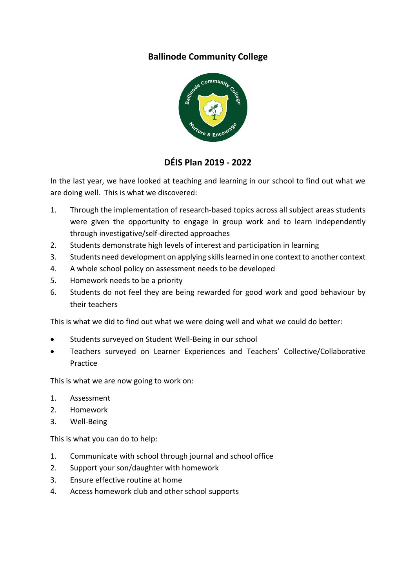## **Ballinode Community College**



# **DÉIS Plan 2019 - 2022**

In the last year, we have looked at teaching and learning in our school to find out what we are doing well. This is what we discovered:

- 1. Through the implementation of research-based topics across all subject areas students were given the opportunity to engage in group work and to learn independently through investigative/self-directed approaches
- 2. Students demonstrate high levels of interest and participation in learning
- 3. Students need development on applying skills learned in one context to another context
- 4. A whole school policy on assessment needs to be developed
- 5. Homework needs to be a priority
- 6. Students do not feel they are being rewarded for good work and good behaviour by their teachers

This is what we did to find out what we were doing well and what we could do better:

- Students surveyed on Student Well-Being in our school
- Teachers surveyed on Learner Experiences and Teachers' Collective/Collaborative Practice

This is what we are now going to work on:

- 1. Assessment
- 2. Homework
- 3. Well-Being

This is what you can do to help:

- 1. Communicate with school through journal and school office
- 2. Support your son/daughter with homework
- 3. Ensure effective routine at home
- 4. Access homework club and other school supports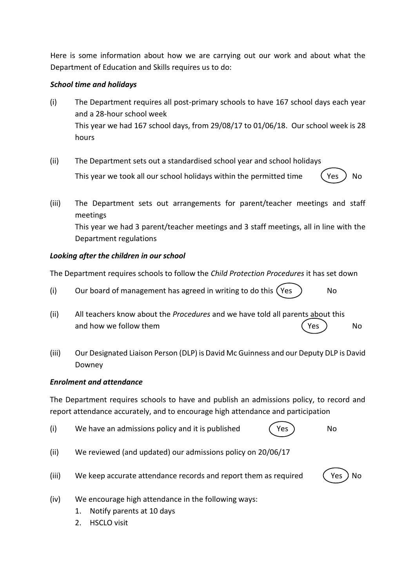Here is some information about how we are carrying out our work and about what the Department of Education and Skills requires us to do:

## *School time and holidays*

- (i) The Department requires all post-primary schools to have 167 school days each year and a 28-hour school week This year we had 167 school days, from 29/08/17 to 01/06/18. Our school week is 28 hours
- (ii) The Department sets out a standardised school year and school holidays This year we took all our school holidays within the permitted time  $\left($  Yes  $\right)$  No
- (iii) The Department sets out arrangements for parent/teacher meetings and staff meetings This year we had 3 parent/teacher meetings and 3 staff meetings, all in line with the Department regulations

## *Looking after the children in our school*

The Department requires schools to follow the *Child Protection Procedures* it has set down

- (i) Our board of management has agreed in writing to do this  $(Yes)$  No
- (ii) All teachers know about the *Procedures* and we have told all parents about this and how we follow them  $(Yes)$  No
- (iii) Our Designated Liaison Person (DLP) is David Mc Guinness and our Deputy DLP is David Downey

## *Enrolment and attendance*

The Department requires schools to have and publish an admissions policy, to record and report attendance accurately, and to encourage high attendance and participation

- (i) We have an admissions policy and it is published (Yes ) No
- 
- (ii) We reviewed (and updated) our admissions policy on 20/06/17
- (iii) We keep accurate attendance records and report them as required  $($  Yes  $)$  No



- (iv) We encourage high attendance in the following ways:
	- 1. Notify parents at 10 days
	- 2. HSCLO visit